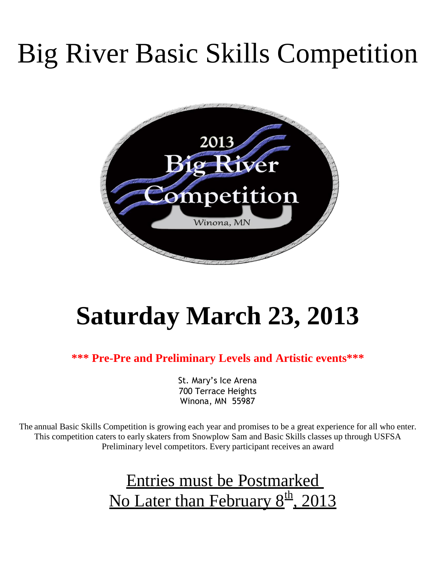# Big River Basic Skills Competition



# **Saturday March 23, 2013**

**\*\*\* Pre-Pre and Preliminary Levels and Artistic events\*\*\***

St. Mary's Ice Arena 700 Terrace Heights Winona, MN 55987

The annual Basic Skills Competition is growing each year and promises to be a great experience for all who enter. This competition caters to early skaters from Snowplow Sam and Basic Skills classes up through USFSA Preliminary level competitors. Every participant receives an award

# Entries must be Postmarked No Later than February 8<sup>th</sup>, 2013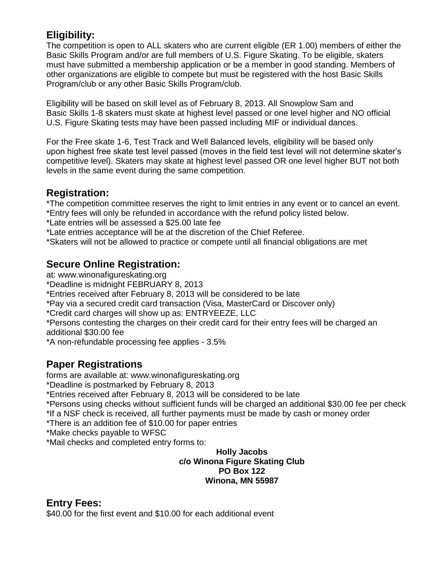### **Eligibility:**

The competition is open to ALL skaters who are current eligible (ER 1.00) members of either the Basic Skills Program and/or are full members of U.S. Figure Skating. To be eligible, skaters must have submitted a membership application or be a member in good standing. Members of other organizations are eligible to compete but must be registered with the host Basic Skills Program/club or any other Basic Skills Program/club.

Eligibility will be based on skill level as of February 8, 2013. All Snowplow Sam and Basic Skills 1-8 skaters must skate at highest level passed or one level higher and NO official U.S. Figure Skating tests may have been passed including MIF or individual dances.

For the Free skate 1-6, Test Track and Well Balanced levels, eligibility will be based only upon highest free skate test level passed (moves in the field test level will not determine skater's competitive level). Skaters may skate at highest level passed OR one level higher BUT not both levels in the same event during the same competition.

### **Registration:**

\*The competition committee reserves the right to limit entries in any event or to cancel an event.

\*Entry fees will only be refunded in accordance with the refund policy listed below.

\*Late entries will be assessed a \$25.00 late fee

\*Late entries acceptance will be at the discretion of the Chief Referee.

\*Skaters will not be allowed to practice or compete until all financial obligations are met

#### **Secure Online Registration:**

at: www.winonafigureskating.org

\*Deadline is midnight FEBRUARY 8, 2013

\*Entries received after February 8, 2013 will be considered to be late

\*Pay via a secured credit card transaction (Visa, MasterCard or Discover only)

\*Credit card charges will show up as: ENTRYEEZE, LLC

\*Persons contesting the charges on their credit card for their entry fees will be charged an additional \$30.00 fee

\*A non-refundable processing fee applies - 3.5%

### **Paper Registrations**

forms are available at: www.winonafigureskating.org

\*Deadline is postmarked by February 8, 2013

\*Entries received after February 8, 2013 will be considered to be late

\*Persons using checks without sufficient funds will be charged an additional \$30.00 fee per check

\*If a NSF check is received, all further payments must be made by cash or money order

\*There is an addition fee of \$10.00 for paper entries

\*Make checks payable to WFSC

\*Mail checks and completed entry forms to:

#### **Holly Jacobs c/o Winona Figure Skating Club PO Box 122 Winona, MN 55987**

### **Entry Fees:**

\$40.00 for the first event and \$10.00 for each additional event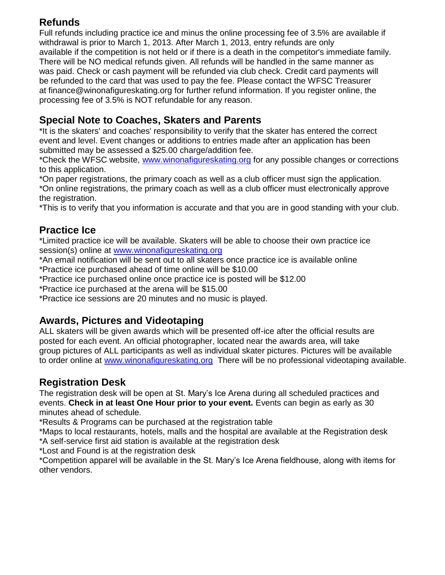### **Refunds**

Full refunds including practice ice and minus the online processing fee of 3.5% are available if withdrawal is prior to March 1, 2013. After March 1, 2013, entry refunds are only available if the competition is not held or if there is a death in the competitor's immediate family. There will be NO medical refunds given. All refunds will be handled in the same manner as was paid. Check or cash payment will be refunded via club check. Credit card payments will be refunded to the card that was used to pay the fee. Please contact the WFSC Treasurer at finance@winonafigureskating.org for further refund information. If you register online, the processing fee of 3.5% is NOT refundable for any reason.

### **Special Note to Coaches, Skaters and Parents**

\*It is the skaters' and coaches' responsibility to verify that the skater has entered the correct event and level. Event changes or additions to entries made after an application has been submitted may be assessed a \$25.00 charge/addition fee.

\*Check the WFSC website, [www.winonafigureskating.org](http://www.winonafigureskating.org/) for any possible changes or corrections to this application.

\*On paper registrations, the primary coach as well as a club officer must sign the application. \*On online registrations, the primary coach as well as a club officer must electronically approve the registration.

\*This is to verify that you information is accurate and that you are in good standing with your club.

### **Practice Ice**

\*Limited practice ice will be available. Skaters will be able to choose their own practice ice session(s) online at [www.winonafigureskating.org](http://www.winonafigureskating.org/)

\*An email notification will be sent out to all skaters once practice ice is available online \*Practice ice purchased ahead of time online will be \$10.00

\*Practice ice purchased online once practice ice is posted will be \$12.00

\*Practice ice purchased at the arena will be \$15.00

\*Practice ice sessions are 20 minutes and no music is played.

### **Awards, Pictures and Videotaping**

ALL skaters will be given awards which will be presented off-ice after the official results are posted for each event. An official photographer, located near the awards area, will take group pictures of ALL participants as well as individual skater pictures. Pictures will be available to order online at [www.winonafigureskating.org](http://www.winonafigureskating.org/) There will be no professional videotaping available.

### **Registration Desk**

The registration desk will be open at St. Mary's Ice Arena during all scheduled practices and events. **Check in at least One Hour prior to your event.** Events can begin as early as 30 minutes ahead of schedule.

\*Results & Programs can be purchased at the registration table

\*Maps to local restaurants, hotels, malls and the hospital are available at the Registration desk \*A self-service first aid station is available at the registration desk

\*Lost and Found is at the registration desk

\*Competition apparel will be available in the St. Mary's Ice Arena fieldhouse, along with items for other vendors.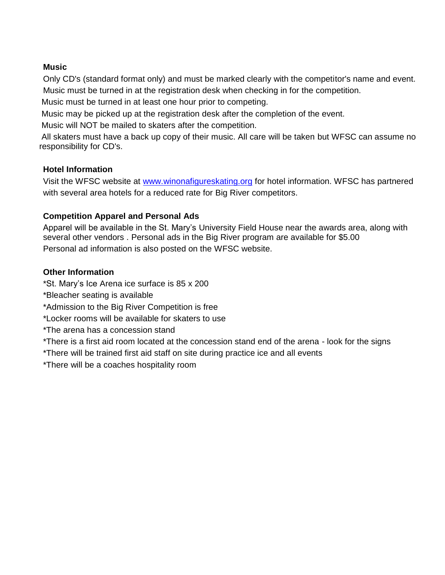#### **Music**

Only CD's (standard format only) and must be marked clearly with the competitor's name and event. Music must be turned in at the registration desk when checking in for the competition.

Music must be turned in at least one hour prior to competing.

Music may be picked up at the registration desk after the completion of the event.

Music will NOT be mailed to skaters after the competition.

All skaters must have a back up copy of their music. All care will be taken but WFSC can assume no responsibility for CD's.

#### **Hotel Information**

Visit the WFSC website at [www.winonafigureskating.org](http://www.winonafigureskating.org/) for hotel information. WFSC has partnered with several area hotels for a reduced rate for Big River competitors.

#### **Competition Apparel and Personal Ads**

Apparel will be available in the St. Mary's University Field House near the awards area, along with several other vendors . Personal ads in the Big River program are available for \$5.00 Personal ad information is also posted on the WFSC website.

#### **Other Information**

\*St. Mary's Ice Arena ice surface is 85 x 200

\*Bleacher seating is available

\*Admission to the Big River Competition is free

\*Locker rooms will be available for skaters to use

\*The arena has a concession stand

\*There is a first aid room located at the concession stand end of the arena - look for the signs

\*There will be trained first aid staff on site during practice ice and all events

\*There will be a coaches hospitality room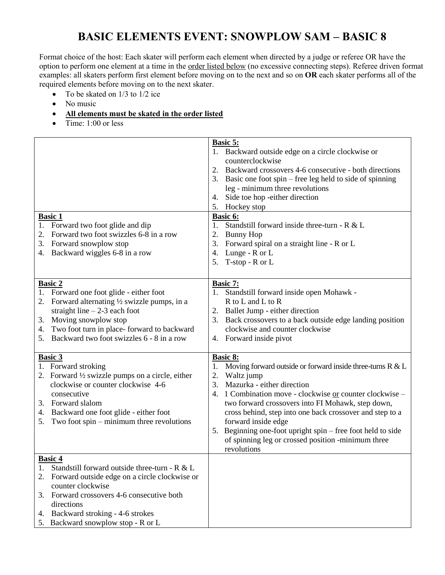## **BASIC ELEMENTS EVENT: SNOWPLOW SAM – BASIC 8**

Format choice of the host: Each skater will perform each element when directed by a judge or referee OR have the option to perform one element at a time in the order listed below (no excessive connecting steps). Referee driven format examples: all skaters perform first element before moving on to the next and so on **OR** each skater performs all of the required elements before moving on to the next skater.

- To be skated on  $1/3$  to  $1/2$  ice
- No music
- **All elements must be skated in the order listed**
- $\bullet$  Time: 1:00 or less

| 1. Backward outside edge on a circle clockwise or<br>counterclockwise<br>Backward crossovers 4-6 consecutive - both directions<br>2.<br>Basic one foot spin – free leg held to side of spinning<br>leg - minimum three revolutions<br>Side toe hop -either direction<br>4.<br>Hockey stop<br>5.<br><b>Basic 1</b><br>Basic 6:<br>Standstill forward inside three-turn - R & L<br>1. Forward two foot glide and dip<br>1.<br>Forward two foot swizzles 6-8 in a row<br>2.<br><b>Bunny Hop</b><br>2.<br>Forward snowplow stop<br>Forward spiral on a straight line - R or L<br>3.<br>3.<br>Lunge - R or L<br>Backward wiggles 6-8 in a row<br>4.<br>4.<br>T-stop - R or L<br>5.<br>Basic 7:<br><b>Basic 2</b><br>1. Forward one foot glide - either foot<br>Standstill forward inside open Mohawk -<br>1.<br>Forward alternating 1/2 swizzle pumps, in a<br>R to L and L to R<br>2.<br>straight line $-2-3$ each foot<br>Ballet Jump - either direction<br>2.<br>Moving snowplow stop<br>Back crossovers to a back outside edge landing position<br>3.<br>3. |  |
|------------------------------------------------------------------------------------------------------------------------------------------------------------------------------------------------------------------------------------------------------------------------------------------------------------------------------------------------------------------------------------------------------------------------------------------------------------------------------------------------------------------------------------------------------------------------------------------------------------------------------------------------------------------------------------------------------------------------------------------------------------------------------------------------------------------------------------------------------------------------------------------------------------------------------------------------------------------------------------------------------------------------------------------------------------|--|
|                                                                                                                                                                                                                                                                                                                                                                                                                                                                                                                                                                                                                                                                                                                                                                                                                                                                                                                                                                                                                                                            |  |
|                                                                                                                                                                                                                                                                                                                                                                                                                                                                                                                                                                                                                                                                                                                                                                                                                                                                                                                                                                                                                                                            |  |
|                                                                                                                                                                                                                                                                                                                                                                                                                                                                                                                                                                                                                                                                                                                                                                                                                                                                                                                                                                                                                                                            |  |
|                                                                                                                                                                                                                                                                                                                                                                                                                                                                                                                                                                                                                                                                                                                                                                                                                                                                                                                                                                                                                                                            |  |
|                                                                                                                                                                                                                                                                                                                                                                                                                                                                                                                                                                                                                                                                                                                                                                                                                                                                                                                                                                                                                                                            |  |
|                                                                                                                                                                                                                                                                                                                                                                                                                                                                                                                                                                                                                                                                                                                                                                                                                                                                                                                                                                                                                                                            |  |
|                                                                                                                                                                                                                                                                                                                                                                                                                                                                                                                                                                                                                                                                                                                                                                                                                                                                                                                                                                                                                                                            |  |
|                                                                                                                                                                                                                                                                                                                                                                                                                                                                                                                                                                                                                                                                                                                                                                                                                                                                                                                                                                                                                                                            |  |
|                                                                                                                                                                                                                                                                                                                                                                                                                                                                                                                                                                                                                                                                                                                                                                                                                                                                                                                                                                                                                                                            |  |
|                                                                                                                                                                                                                                                                                                                                                                                                                                                                                                                                                                                                                                                                                                                                                                                                                                                                                                                                                                                                                                                            |  |
|                                                                                                                                                                                                                                                                                                                                                                                                                                                                                                                                                                                                                                                                                                                                                                                                                                                                                                                                                                                                                                                            |  |
|                                                                                                                                                                                                                                                                                                                                                                                                                                                                                                                                                                                                                                                                                                                                                                                                                                                                                                                                                                                                                                                            |  |
|                                                                                                                                                                                                                                                                                                                                                                                                                                                                                                                                                                                                                                                                                                                                                                                                                                                                                                                                                                                                                                                            |  |
|                                                                                                                                                                                                                                                                                                                                                                                                                                                                                                                                                                                                                                                                                                                                                                                                                                                                                                                                                                                                                                                            |  |
|                                                                                                                                                                                                                                                                                                                                                                                                                                                                                                                                                                                                                                                                                                                                                                                                                                                                                                                                                                                                                                                            |  |
|                                                                                                                                                                                                                                                                                                                                                                                                                                                                                                                                                                                                                                                                                                                                                                                                                                                                                                                                                                                                                                                            |  |
|                                                                                                                                                                                                                                                                                                                                                                                                                                                                                                                                                                                                                                                                                                                                                                                                                                                                                                                                                                                                                                                            |  |
|                                                                                                                                                                                                                                                                                                                                                                                                                                                                                                                                                                                                                                                                                                                                                                                                                                                                                                                                                                                                                                                            |  |
|                                                                                                                                                                                                                                                                                                                                                                                                                                                                                                                                                                                                                                                                                                                                                                                                                                                                                                                                                                                                                                                            |  |
| Two foot turn in place-forward to backward<br>clockwise and counter clockwise<br>4.                                                                                                                                                                                                                                                                                                                                                                                                                                                                                                                                                                                                                                                                                                                                                                                                                                                                                                                                                                        |  |
| Backward two foot swizzles 6 - 8 in a row<br>4. Forward inside pivot<br>5.                                                                                                                                                                                                                                                                                                                                                                                                                                                                                                                                                                                                                                                                                                                                                                                                                                                                                                                                                                                 |  |
|                                                                                                                                                                                                                                                                                                                                                                                                                                                                                                                                                                                                                                                                                                                                                                                                                                                                                                                                                                                                                                                            |  |
| <b>Basic 3</b><br><b>Basic 8:</b>                                                                                                                                                                                                                                                                                                                                                                                                                                                                                                                                                                                                                                                                                                                                                                                                                                                                                                                                                                                                                          |  |
| 1. Forward stroking<br>Moving forward outside or forward inside three-turns $R \& L$<br>1.                                                                                                                                                                                                                                                                                                                                                                                                                                                                                                                                                                                                                                                                                                                                                                                                                                                                                                                                                                 |  |
| Waltz jump<br>2. Forward $\frac{1}{2}$ swizzle pumps on a circle, either<br>2.                                                                                                                                                                                                                                                                                                                                                                                                                                                                                                                                                                                                                                                                                                                                                                                                                                                                                                                                                                             |  |
| Mazurka - either direction<br>clockwise or counter clockwise 4-6<br>3.                                                                                                                                                                                                                                                                                                                                                                                                                                                                                                                                                                                                                                                                                                                                                                                                                                                                                                                                                                                     |  |
| consecutive<br>1 Combination move - clockwise or counter clockwise -<br>4.                                                                                                                                                                                                                                                                                                                                                                                                                                                                                                                                                                                                                                                                                                                                                                                                                                                                                                                                                                                 |  |
| 3. Forward slalom<br>two forward crossovers into FI Mohawk, step down,                                                                                                                                                                                                                                                                                                                                                                                                                                                                                                                                                                                                                                                                                                                                                                                                                                                                                                                                                                                     |  |
| 4. Backward one foot glide - either foot<br>cross behind, step into one back crossover and step to a                                                                                                                                                                                                                                                                                                                                                                                                                                                                                                                                                                                                                                                                                                                                                                                                                                                                                                                                                       |  |
| Two foot spin – minimum three revolutions<br>forward inside edge<br>5.                                                                                                                                                                                                                                                                                                                                                                                                                                                                                                                                                                                                                                                                                                                                                                                                                                                                                                                                                                                     |  |
| 5. Beginning one-foot upright spin – free foot held to side                                                                                                                                                                                                                                                                                                                                                                                                                                                                                                                                                                                                                                                                                                                                                                                                                                                                                                                                                                                                |  |
| of spinning leg or crossed position -minimum three                                                                                                                                                                                                                                                                                                                                                                                                                                                                                                                                                                                                                                                                                                                                                                                                                                                                                                                                                                                                         |  |
| revolutions                                                                                                                                                                                                                                                                                                                                                                                                                                                                                                                                                                                                                                                                                                                                                                                                                                                                                                                                                                                                                                                |  |
| <b>Basic 4</b>                                                                                                                                                                                                                                                                                                                                                                                                                                                                                                                                                                                                                                                                                                                                                                                                                                                                                                                                                                                                                                             |  |
| Standstill forward outside three-turn - R & L<br>1.                                                                                                                                                                                                                                                                                                                                                                                                                                                                                                                                                                                                                                                                                                                                                                                                                                                                                                                                                                                                        |  |
| 2.<br>Forward outside edge on a circle clockwise or                                                                                                                                                                                                                                                                                                                                                                                                                                                                                                                                                                                                                                                                                                                                                                                                                                                                                                                                                                                                        |  |
| counter clockwise                                                                                                                                                                                                                                                                                                                                                                                                                                                                                                                                                                                                                                                                                                                                                                                                                                                                                                                                                                                                                                          |  |
| Forward crossovers 4-6 consecutive both<br>3.                                                                                                                                                                                                                                                                                                                                                                                                                                                                                                                                                                                                                                                                                                                                                                                                                                                                                                                                                                                                              |  |
| directions                                                                                                                                                                                                                                                                                                                                                                                                                                                                                                                                                                                                                                                                                                                                                                                                                                                                                                                                                                                                                                                 |  |
| Backward stroking - 4-6 strokes<br>4.                                                                                                                                                                                                                                                                                                                                                                                                                                                                                                                                                                                                                                                                                                                                                                                                                                                                                                                                                                                                                      |  |
| 5. Backward snowplow stop - R or L                                                                                                                                                                                                                                                                                                                                                                                                                                                                                                                                                                                                                                                                                                                                                                                                                                                                                                                                                                                                                         |  |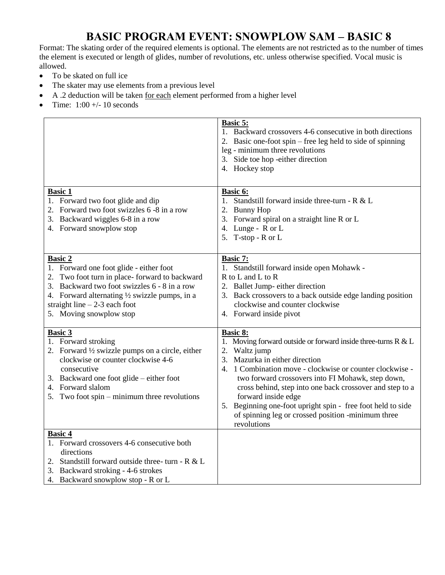### **BASIC PROGRAM EVENT: SNOWPLOW SAM – BASIC 8**

Format: The skating order of the required elements is optional. The elements are not restricted as to the number of times the element is executed or length of glides, number of revolutions, etc. unless otherwise specified. Vocal music is allowed.

- To be skated on full ice
- The skater may use elements from a previous level
- A .2 deduction will be taken for each element performed from a higher level
- Time:  $1:00 + (-10$  seconds

|                                                                                                                                                                                                                                                                           | <b>Basic 5:</b><br>1. Backward crossovers 4-6 consecutive in both directions<br>2. Basic one-foot spin – free leg held to side of spinning<br>leg - minimum three revolutions<br>3. Side toe hop -either direction<br>4. Hockey stop                                                                                                                                                                                                                                           |
|---------------------------------------------------------------------------------------------------------------------------------------------------------------------------------------------------------------------------------------------------------------------------|--------------------------------------------------------------------------------------------------------------------------------------------------------------------------------------------------------------------------------------------------------------------------------------------------------------------------------------------------------------------------------------------------------------------------------------------------------------------------------|
| <b>Basic 1</b><br>1. Forward two foot glide and dip<br>2. Forward two foot swizzles 6 -8 in a row<br>3. Backward wiggles 6-8 in a row<br>4. Forward snowplow stop                                                                                                         | Basic 6:<br>1. Standstill forward inside three-turn - R & L<br>2. Bunny Hop<br>3. Forward spiral on a straight line R or L<br>4. Lunge - R or L<br>5. T-stop - R or L                                                                                                                                                                                                                                                                                                          |
| <b>Basic 2</b><br>1. Forward one foot glide - either foot<br>2. Two foot turn in place-forward to backward<br>3. Backward two foot swizzles 6 - 8 in a row<br>4. Forward alternating 1/2 swizzle pumps, in a<br>straight line $-2-3$ each foot<br>5. Moving snowplow stop | Basic 7:<br>1. Standstill forward inside open Mohawk -<br>R to L and L to R<br>2. Ballet Jump- either direction<br>3. Back crossovers to a back outside edge landing position<br>clockwise and counter clockwise<br>4. Forward inside pivot                                                                                                                                                                                                                                    |
| <b>Basic 3</b><br>1. Forward stroking<br>2. Forward $\frac{1}{2}$ swizzle pumps on a circle, either<br>clockwise or counter clockwise 4-6<br>consecutive<br>3. Backward one foot glide – either foot<br>4. Forward slalom<br>5. Two foot spin – minimum three revolutions | <b>Basic 8:</b><br>1. Moving forward outside or forward inside three-turns R & L<br>2. Waltz jump<br>3. Mazurka in either direction<br>1 Combination move - clockwise or counter clockwise -<br>4.<br>two forward crossovers into FI Mohawk, step down,<br>cross behind, step into one back crossover and step to a<br>forward inside edge<br>5. Beginning one-foot upright spin - free foot held to side<br>of spinning leg or crossed position -minimum three<br>revolutions |
| <b>Basic 4</b><br>1. Forward crossovers 4-6 consecutive both<br>directions<br>2. Standstill forward outside three- turn - $R < L$<br>3. Backward stroking - 4-6 strokes<br>4. Backward snowplow stop - R or L                                                             |                                                                                                                                                                                                                                                                                                                                                                                                                                                                                |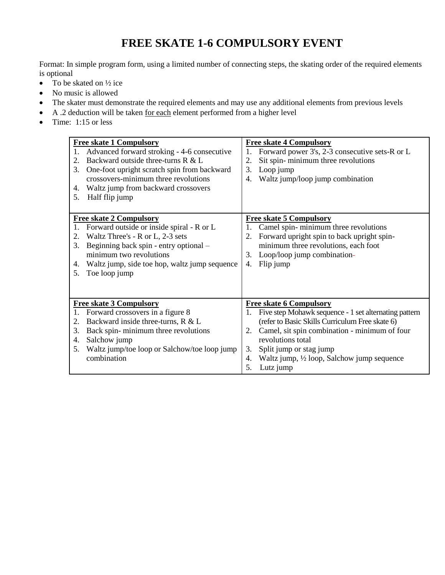## **FREE SKATE 1-6 COMPULSORY EVENT**

Format: In simple program form, using a limited number of connecting steps, the skating order of the required elements is optional

- To be skated on  $\frac{1}{2}$  ice
- No music is allowed
- The skater must demonstrate the required elements and may use any additional elements from previous levels
- A .2 deduction will be taken for each element performed from a higher level
- $\bullet$  Time: 1:15 or less

| <b>Free skate 1 Compulsory</b><br>Advanced forward stroking - 4-6 consecutive<br>1.<br>Backward outside three-turns R & L<br>2.<br>3.<br>One-foot upright scratch spin from backward<br>crossovers-minimum three revolutions<br>Waltz jump from backward crossovers<br>4.<br>Half flip jump<br>5. | <b>Free skate 4 Compulsory</b><br>Forward power 3's, 2-3 consecutive sets-R or L<br>1.<br>Sit spin-minimum three revolutions<br>2.<br>3.<br>Loop jump<br>Waltz jump/loop jump combination<br>4.                                                                                                                                       |
|---------------------------------------------------------------------------------------------------------------------------------------------------------------------------------------------------------------------------------------------------------------------------------------------------|---------------------------------------------------------------------------------------------------------------------------------------------------------------------------------------------------------------------------------------------------------------------------------------------------------------------------------------|
| <b>Free skate 2 Compulsory</b><br>Forward outside or inside spiral - R or L<br>Waltz Three's - R or L, 2-3 sets<br>2.<br>Beginning back spin - entry optional -<br>3.<br>minimum two revolutions<br>Waltz jump, side toe hop, waltz jump sequence<br>4.<br>Toe loop jump<br>5.                    | <b>Free skate 5 Compulsory</b><br>Camel spin-minimum three revolutions<br>1.<br>Forward upright spin to back upright spin-<br>2.<br>minimum three revolutions, each foot<br>3. Loop/loop jump combination-<br>Flip jump<br>4.                                                                                                         |
| <b>Free skate 3 Compulsory</b><br>Forward crossovers in a figure 8<br>Backward inside three-turns, R & L<br>2.<br>Back spin-minimum three revolutions<br>3.<br>Salchow jump<br>4.<br>Waltz jump/toe loop or Salchow/toe loop jump<br>5.<br>combination                                            | <b>Free skate 6 Compulsory</b><br>Five step Mohawk sequence - 1 set alternating pattern<br>1.<br>(refer to Basic Skills Curriculum Free skate 6)<br>Camel, sit spin combination - minimum of four<br>2.<br>revolutions total<br>Split jump or stag jump<br>3.<br>Waltz jump, 1/2 loop, Salchow jump sequence<br>4.<br>Lutz jump<br>5. |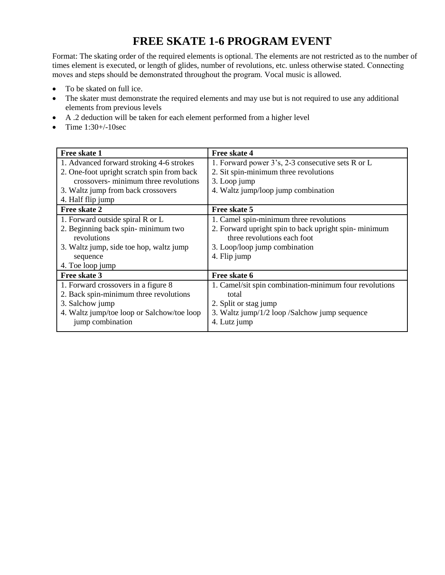## **FREE SKATE 1-6 PROGRAM EVENT**

Format: The skating order of the required elements is optional. The elements are not restricted as to the number of times element is executed, or length of glides, number of revolutions, etc. unless otherwise stated. Connecting moves and steps should be demonstrated throughout the program. Vocal music is allowed.

- To be skated on full ice.
- The skater must demonstrate the required elements and may use but is not required to use any additional elements from previous levels
- A .2 deduction will be taken for each element performed from a higher level
- Time  $1:30 + (-10sec$

| Free skate 4                                           |
|--------------------------------------------------------|
| 1. Forward power 3's, 2-3 consecutive sets R or L      |
| 2. Sit spin-minimum three revolutions                  |
| 3. Loop jump                                           |
| 4. Waltz jump/loop jump combination                    |
|                                                        |
| Free skate 5                                           |
| 1. Camel spin-minimum three revolutions                |
| 2. Forward upright spin to back upright spin-minimum   |
| three revolutions each foot                            |
| 3. Loop/loop jump combination                          |
| 4. Flip jump                                           |
|                                                        |
| Free skate 6                                           |
| 1. Camel/sit spin combination-minimum four revolutions |
| total                                                  |
| 2. Split or stag jump                                  |
| 3. Waltz jump/1/2 loop /Salchow jump sequence          |
| 4. Lutz jump                                           |
|                                                        |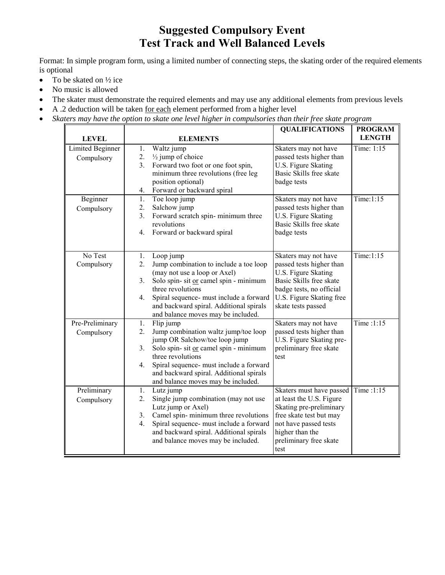## **Suggested Compulsory Event Test Track and Well Balanced Levels**

Format: In simple program form, using a limited number of connecting steps, the skating order of the required elements is optional

- To be skated on  $\frac{1}{2}$  ice
- No music is allowed
- The skater must demonstrate the required elements and may use any additional elements from previous levels
- A .2 deduction will be taken for each element performed from a higher level
- *Skaters may have the option to skate one level higher in compulsories than their free skate program*

|                  |    |                                         | <b>QUALIFICATIONS</b>    | <b>PROGRAM</b> |
|------------------|----|-----------------------------------------|--------------------------|----------------|
| <b>LEVEL</b>     |    | <b>ELEMENTS</b>                         |                          | <b>LENGTH</b>  |
| Limited Beginner | 1. | Waltz jump                              | Skaters may not have     | Time: 1:15     |
| Compulsory       | 2. | $\frac{1}{2}$ jump of choice            | passed tests higher than |                |
|                  | 3. | Forward two foot or one foot spin,      | U.S. Figure Skating      |                |
|                  |    | minimum three revolutions (free leg     | Basic Skills free skate  |                |
|                  |    | position optional)                      | badge tests              |                |
|                  | 4. | Forward or backward spiral              |                          |                |
| Beginner         | 1. | Toe loop jump                           | Skaters may not have     | Time:1:15      |
| Compulsory       | 2. | Salchow jump                            | passed tests higher than |                |
|                  | 3. | Forward scratch spin-minimum three      | U.S. Figure Skating      |                |
|                  |    | revolutions                             | Basic Skills free skate  |                |
|                  | 4. | Forward or backward spiral              | badge tests              |                |
|                  |    |                                         |                          |                |
| No Test          | 1. | Loop jump                               | Skaters may not have     | Time: $1:15$   |
| Compulsory       | 2. | Jump combination to include a toe loop  | passed tests higher than |                |
|                  |    | (may not use a loop or Axel)            | U.S. Figure Skating      |                |
|                  | 3. | Solo spin- sit or camel spin - minimum  | Basic Skills free skate  |                |
|                  |    | three revolutions                       | badge tests, no official |                |
|                  | 4. | Spiral sequence- must include a forward | U.S. Figure Skating free |                |
|                  |    | and backward spiral. Additional spirals | skate tests passed       |                |
|                  |    | and balance moves may be included.      |                          |                |
| Pre-Preliminary  | 1. | Flip jump                               | Skaters may not have     | Time: $1:15$   |
| Compulsory       | 2. | Jump combination waltz jump/toe loop    | passed tests higher than |                |
|                  |    | jump OR Salchow/toe loop jump           | U.S. Figure Skating pre- |                |
|                  | 3. | Solo spin- sit or camel spin - minimum  | preliminary free skate   |                |
|                  |    | three revolutions                       | test                     |                |
|                  | 4. | Spiral sequence- must include a forward |                          |                |
|                  |    | and backward spiral. Additional spirals |                          |                |
|                  |    | and balance moves may be included.      |                          |                |
| Preliminary      | 1. | Lutz jump                               | Skaters must have passed | Time:1:15      |
| Compulsory       | 2. | Single jump combination (may not use    | at least the U.S. Figure |                |
|                  |    | Lutz jump or Axel)                      | Skating pre-preliminary  |                |
|                  | 3. | Camel spin-minimum three revolutions    | free skate test but may  |                |
|                  | 4. | Spiral sequence- must include a forward | not have passed tests    |                |
|                  |    | and backward spiral. Additional spirals | higher than the          |                |
|                  |    | and balance moves may be included.      | preliminary free skate   |                |
|                  |    |                                         | test                     |                |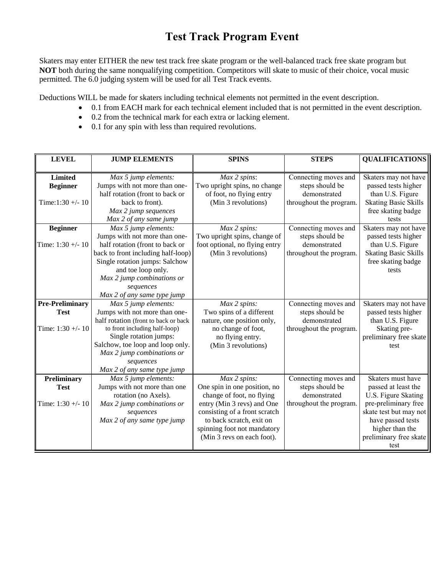## **Test Track Program Event**

Skaters may enter EITHER the new test track free skate program or the well-balanced track free skate program but **NOT** both during the same nonqualifying competition. Competitors will skate to music of their choice, vocal music permitted. The 6.0 judging system will be used for all Test Track events.

Deductions WILL be made for skaters including technical elements not permitted in the event description.

- 0.1 from EACH mark for each technical element included that is not permitted in the event description.
- 0.2 from the technical mark for each extra or lacking element.
- 0.1 for any spin with less than required revolutions.

| <b>LEVEL</b>           | <b>JUMP ELEMENTS</b>                 | <b>SPINS</b>                   | <b>STEPS</b>            | <b>QUALIFICATIONS</b>       |
|------------------------|--------------------------------------|--------------------------------|-------------------------|-----------------------------|
| <b>Limited</b>         |                                      |                                |                         |                             |
|                        | Max 5 jump elements:                 | Max 2 spins:                   | Connecting moves and    | Skaters may not have        |
| <b>Beginner</b>        | Jumps with not more than one-        | Two upright spins, no change   | steps should be         | passed tests higher         |
|                        | half rotation (front to back or      | of foot, no flying entry       | demonstrated            | than U.S. Figure            |
| Time: $1:30 + -10$     | back to front).                      | (Min 3 revolutions)            | throughout the program. | <b>Skating Basic Skills</b> |
|                        | Max 2 jump sequences                 |                                |                         | free skating badge          |
|                        | Max 2 of any same jump               |                                |                         | tests                       |
| <b>Beginner</b>        | Max 5 jump elements:                 | Max 2 spins:                   | Connecting moves and    | Skaters may not have        |
|                        | Jumps with not more than one-        | Two upright spins, change of   | steps should be         | passed tests higher         |
| Time: $1:30 + -10$     | half rotation (front to back or      | foot optional, no flying entry | demonstrated            | than U.S. Figure            |
|                        | back to front including half-loop)   | (Min 3 revolutions)            | throughout the program. | <b>Skating Basic Skills</b> |
|                        | Single rotation jumps: Salchow       |                                |                         | free skating badge          |
|                        | and toe loop only.                   |                                |                         | tests                       |
|                        | Max 2 jump combinations or           |                                |                         |                             |
|                        | sequences                            |                                |                         |                             |
|                        | Max 2 of any same type jump          |                                |                         |                             |
| <b>Pre-Preliminary</b> | Max 5 jump elements:                 | Max 2 spins:                   | Connecting moves and    | Skaters may not have        |
| <b>Test</b>            | Jumps with not more than one-        | Two spins of a different       | steps should be         | passed tests higher         |
|                        | half rotation (front to back or back | nature, one position only,     | demonstrated            | than U.S. Figure            |
| Time: $1:30 + -10$     | to front including half-loop)        | no change of foot,             | throughout the program. | Skating pre-                |
|                        | Single rotation jumps:               | no flying entry.               |                         | preliminary free skate      |
|                        | Salchow, toe loop and loop only.     | (Min 3 revolutions)            |                         | test                        |
|                        | Max 2 jump combinations or           |                                |                         |                             |
|                        | sequences                            |                                |                         |                             |
|                        | Max 2 of any same type jump          |                                |                         |                             |
| Preliminary            | Max 5 jump elements:                 | Max 2 spins:                   | Connecting moves and    | Skaters must have           |
| <b>Test</b>            | Jumps with not more than one         | One spin in one position, no   | steps should be         | passed at least the         |
|                        | rotation (no Axels).                 | change of foot, no flying      | demonstrated            | U.S. Figure Skating         |
| Time: $1:30 + -10$     | Max 2 jump combinations or           | entry (Min 3 revs) and One     | throughout the program. | pre-preliminary free        |
|                        | sequences                            | consisting of a front scratch  |                         | skate test but may not      |
|                        | Max 2 of any same type jump          | to back scratch, exit on       |                         | have passed tests           |
|                        |                                      | spinning foot not mandatory    |                         | higher than the             |
|                        |                                      | (Min 3 revs on each foot).     |                         | preliminary free skate      |
|                        |                                      |                                |                         | test                        |
|                        |                                      |                                |                         |                             |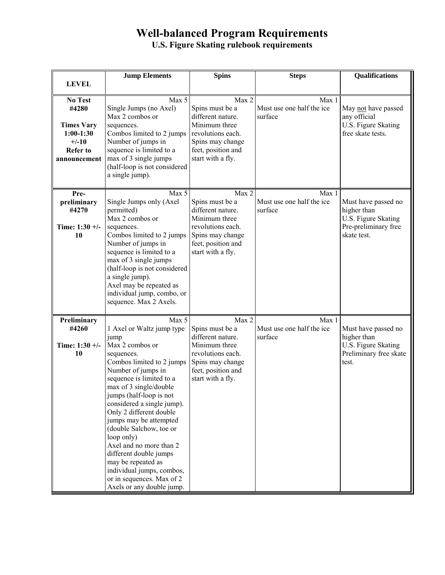## **Well-balanced Program Requirements**

**U.S. Figure Skating rulebook requirements** 

| <b>LEVEL</b>                                                                                              | <b>Jump Elements</b>                                                                                                                                                                                                                                                                                                                                                                                                                                                                                          | <b>Spins</b>                                                                                                                                       | <b>Steps</b>                                  | Qualifications                                                                                   |
|-----------------------------------------------------------------------------------------------------------|---------------------------------------------------------------------------------------------------------------------------------------------------------------------------------------------------------------------------------------------------------------------------------------------------------------------------------------------------------------------------------------------------------------------------------------------------------------------------------------------------------------|----------------------------------------------------------------------------------------------------------------------------------------------------|-----------------------------------------------|--------------------------------------------------------------------------------------------------|
|                                                                                                           |                                                                                                                                                                                                                                                                                                                                                                                                                                                                                                               |                                                                                                                                                    |                                               |                                                                                                  |
| <b>No Test</b><br>#4280<br><b>Times Vary</b><br>$1:00-1:30$<br>$+/-10$<br><b>Refer to</b><br>announcement | Max 5<br>Single Jumps (no Axel)<br>Max 2 combos or<br>sequences.<br>Combos limited to 2 jumps<br>Number of jumps in<br>sequence is limited to a<br>max of 3 single jumps<br>(half-loop is not considered<br>a single jump).                                                                                                                                                                                                                                                                                   | Max 2<br>Spins must be a<br>different nature.<br>Minimum three<br>revolutions each.<br>Spins may change<br>feet, position and<br>start with a fly. | Max 1<br>Must use one half the ice<br>surface | May not have passed<br>any official<br>U.S. Figure Skating<br>free skate tests.                  |
| Pre-<br>preliminary<br>#4270<br>Time: $1:30 +/-$<br><b>10</b>                                             | Max 5<br>Single Jumps only (Axel<br>permitted)<br>Max 2 combos or<br>sequences.<br>Combos limited to 2 jumps<br>Number of jumps in<br>sequence is limited to a<br>max of 3 single jumps<br>(half-loop is not considered<br>a single jump).<br>Axel may be repeated as<br>individual jump, combo, or<br>sequence. Max 2 Axels.                                                                                                                                                                                 | Max 2<br>Spins must be a<br>different nature.<br>Minimum three<br>revolutions each.<br>Spins may change<br>feet, position and<br>start with a fly. | Max 1<br>Must use one half the ice<br>surface | Must have passed no<br>higher than<br>U.S. Figure Skating<br>Pre-preliminary free<br>skate test. |
| Preliminary<br>#4260<br>Time: $1:30 +/-$<br>10                                                            | Max 5<br>1 Axel or Waltz jump type<br>jump<br>Max 2 combos or<br>sequences.<br>Combos limited to 2 jumps<br>Number of jumps in<br>sequence is limited to a<br>max of 3 single/double<br>jumps (half-loop is not<br>considered a single jump).<br>Only 2 different double<br>jumps may be attempted<br>(double Salchow, toe or<br>loop only)<br>Axel and no more than 2<br>different double jumps<br>may be repeated as<br>individual jumps, combos,<br>or in sequences. Max of 2<br>Axels or any double jump. | Max 2<br>Spins must be a<br>different nature.<br>Minimum three<br>revolutions each.<br>Spins may change<br>feet, position and<br>start with a fly. | Max 1<br>Must use one half the ice<br>surface | Must have passed no<br>higher than<br>U.S. Figure Skating<br>Preliminary free skate<br>test.     |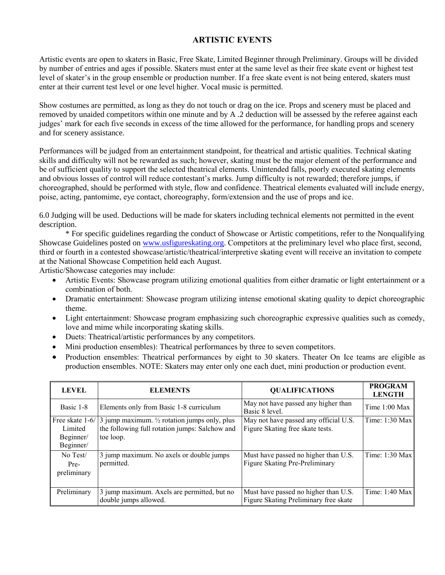#### **ARTISTIC EVENTS**

Artistic events are open to skaters in Basic, Free Skate, Limited Beginner through Preliminary. Groups will be divided by number of entries and ages if possible. Skaters must enter at the same level as their free skate event or highest test level of skater's in the group ensemble or production number. If a free skate event is not being entered, skaters must enter at their current test level or one level higher. Vocal music is permitted.

Show costumes are permitted, as long as they do not touch or drag on the ice. Props and scenery must be placed and removed by unaided competitors within one minute and by A .2 deduction will be assessed by the referee against each judges' mark for each five seconds in excess of the time allowed for the performance, for handling props and scenery and for scenery assistance.

Performances will be judged from an entertainment standpoint, for theatrical and artistic qualities. Technical skating skills and difficulty will not be rewarded as such; however, skating must be the major element of the performance and be of sufficient quality to support the selected theatrical elements. Unintended falls, poorly executed skating elements and obvious losses of control will reduce contestant's marks. Jump difficulty is not rewarded; therefore jumps, if choreographed, should be performed with style, flow and confidence. Theatrical elements evaluated will include energy, poise, acting, pantomime, eye contact, choreography, form/extension and the use of props and ice.

6.0 Judging will be used. Deductions will be made for skaters including technical elements not permitted in the event description.

\* For specific guidelines regarding the conduct of Showcase or Artistic competitions, refer to the Nonqualifying Showcase Guidelines posted on [www.usfigureskating.org.](http://www.usfigureskating.org/) Competitors at the preliminary level who place first, second, third or fourth in a contested showcase/artistic/theatrical/interpretive skating event will receive an invitation to compete at the National Showcase Competition held each August.

Artistic/Showcase categories may include:

- Artistic Events: Showcase program utilizing emotional qualities from either dramatic or light entertainment or a combination of both.
- Dramatic entertainment: Showcase program utilizing intense emotional skating quality to depict choreographic theme.
- Light entertainment: Showcase program emphasizing such choreographic expressive qualities such as comedy, love and mime while incorporating skating skills.
- Duets: Theatrical/artistic performances by any competitors.
- Mini production ensembles): Theatrical performances by three to seven competitors.
- Production ensembles: Theatrical performances by eight to 30 skaters. Theater On Ice teams are eligible as production ensembles. NOTE: Skaters may enter only one each duet, mini production or production event.

| <b>LEVEL</b>                      | <b>ELEMENTS</b>                                                                                                                         | <b>QUALIFICATIONS</b>                                                         | <b>PROGRAM</b><br><b>LENGTH</b> |
|-----------------------------------|-----------------------------------------------------------------------------------------------------------------------------------------|-------------------------------------------------------------------------------|---------------------------------|
| Basic 1-8                         | Elements only from Basic 1-8 curriculum                                                                                                 | May not have passed any higher than<br>Basic 8 level.                         | Time $1:00$ Max                 |
| Limited<br>Beginner/<br>Beginner/ | Free skate $1-6/3$ jump maximum. $\frac{1}{2}$ rotation jumps only, plus<br>the following full rotation jumps: Salchow and<br>toe loop. | May not have passed any official U.S.<br>Figure Skating free skate tests.     | Time: $1:30$ Max                |
| No Test/<br>Pre-<br>preliminary   | 3 jump maximum. No axels or double jumps<br>permitted.                                                                                  | Must have passed no higher than U.S.<br>Figure Skating Pre-Preliminary        | Time: 1:30 Max                  |
| Preliminary                       | 3 jump maximum. Axels are permitted, but no<br>double jumps allowed.                                                                    | Must have passed no higher than U.S.<br>Figure Skating Preliminary free skate | Time: $1:40$ Max                |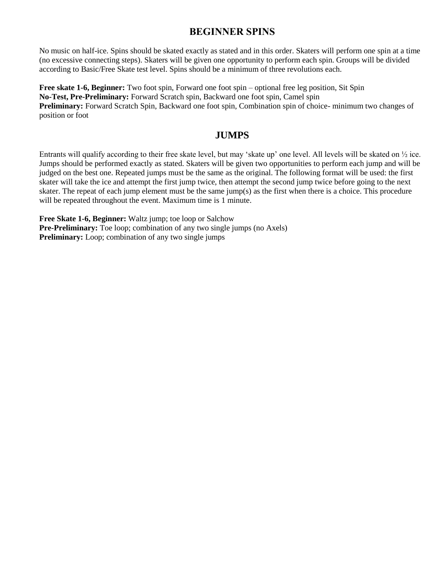#### **BEGINNER SPINS**

No music on half-ice. Spins should be skated exactly as stated and in this order. Skaters will perform one spin at a time (no excessive connecting steps). Skaters will be given one opportunity to perform each spin. Groups will be divided according to Basic/Free Skate test level. Spins should be a minimum of three revolutions each.

**Free skate 1-6, Beginner:** Two foot spin, Forward one foot spin – optional free leg position, Sit Spin **No-Test, Pre-Preliminary:** Forward Scratch spin, Backward one foot spin, Camel spin **Preliminary:** Forward Scratch Spin, Backward one foot spin, Combination spin of choice- minimum two changes of position or foot

#### **JUMPS**

Entrants will qualify according to their free skate level, but may 'skate up' one level. All levels will be skated on ½ ice. Jumps should be performed exactly as stated. Skaters will be given two opportunities to perform each jump and will be judged on the best one. Repeated jumps must be the same as the original. The following format will be used: the first skater will take the ice and attempt the first jump twice, then attempt the second jump twice before going to the next skater. The repeat of each jump element must be the same jump(s) as the first when there is a choice. This procedure will be repeated throughout the event. Maximum time is 1 minute.

**Free Skate 1-6, Beginner:** Waltz jump; toe loop or Salchow **Pre-Preliminary:** Toe loop; combination of any two single jumps (no Axels) **Preliminary:** Loop; combination of any two single jumps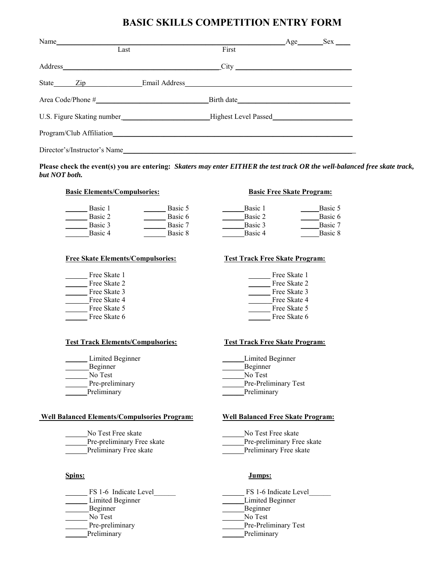#### **BASIC SKILLS COMPETITION ENTRY FORM**

| Name                         |                                | Age Sex |
|------------------------------|--------------------------------|---------|
| Last                         | First                          |         |
|                              |                                |         |
|                              | State <u>Zip</u> Email Address |         |
|                              | Birth date                     |         |
|                              |                                |         |
|                              |                                |         |
| Director's/Instructor's Name |                                |         |

**Please check the event(s) you are entering:** *Skaters may enter EITHER the test track OR the well-balanced free skate track, but NOT both.*

#### **Basic Elements/Compulsories: Basic Free Skate Program:**

| Basic 1 | Basic 5 | Basic 1 | Basic 5 |
|---------|---------|---------|---------|
| Basic 2 | Basic 6 | Basic 2 | Basic 6 |
| Basic 3 | Basic 7 | Basic 3 | Basic 7 |
| Basic 4 | Basic 8 | Basic 4 | Basic 8 |
|         |         |         |         |

#### **Free Skate Elements/Compulsories: Test Track Free Skate Program:**

| Free Skate 1 | Free Skate 1 |
|--------------|--------------|
| Free Skate 2 | Free Skate 2 |
| Free Skate 3 | Free Skate 3 |
| Free Skate 4 | Free Skate 4 |
| Free Skate 5 | Free Skate 5 |
| Free Skate 6 | Free Skate 6 |

#### **Test Track Elements/Compulsories: Test Track Free Skate Program:**

\_\_\_\_\_\_ No Test \_\_\_\_\_\_No Test Preliminary Preliminary Preliminary

#### **Well Balanced Elements/Compulsories Program: Well Balanced Free Skate Program:**

\_\_\_\_\_\_No Test Free skate \_\_\_\_\_\_No Test Free skate

### Beginner Beginner \_\_\_\_\_\_ No Test \_\_\_\_\_\_No Test Pre-preliminary **Pre-Preliminary Test** Preliminary Preliminary Preliminary

Limited Beginner **Limited Beginner Limited Beginner** Beginner Beginner Pre-preliminary **Pre-Preliminary Test** 

Pre-preliminary Free skate Pre-preliminary Free skate

Preliminary Free skate **Example 2** Preliminary Free skate

#### **Spins: Jumps:**

FS 1-6 Indicate Level FS 1-6 Indicate Level Limited Beginner **Limited Beginner**